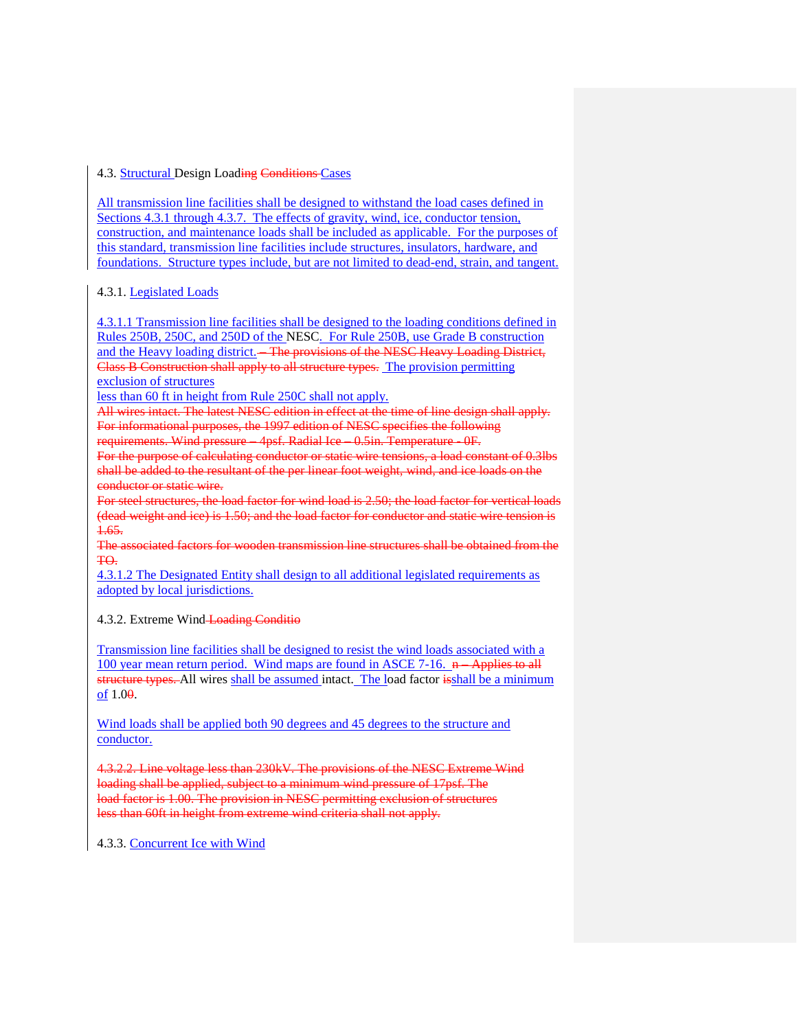## 4.3. Structural Design Loading Conditions Cases

All transmission line facilities shall be designed to withstand the load cases defined in Sections 4.3.1 through 4.3.7. The effects of gravity, wind, ice, conductor tension, construction, and maintenance loads shall be included as applicable. For the purposes of this standard, transmission line facilities include structures, insulators, hardware, and foundations. Structure types include, but are not limited to dead-end, strain, and tangent.

# 4.3.1. Legislated Loads

4.3.1.1 Transmission line facilities shall be designed to the loading conditions defined in Rules 250B, 250C, and 250D of the NESC. For Rule 250B, use Grade B construction and the Heavy loading district. – The provisions of the NESC Heavy Loading District, Class B Construction shall apply to all structure types. The provision permitting exclusion of structures

less than 60 ft in height from Rule 250C shall not apply.

All wires intact. The latest NESC edition in effect at the time of line design shall apply. For informational purposes, the 1997 edition of NESC specifies the following

requirements. Wind pressure – 4psf. Radial Ice – 0.5in. Temperature - 0F.

For the purpose of calculating conductor or static wire tensions, a load constant of 0.3lbs shall be added to the resultant of the per linear foot weight, wind, and ice loads on the conductor or static wire.

For steel structures, the load factor for wind load is 2.50; the load factor for vertical loads (dead weight and ice) is 1.50; and the load factor for conductor and static wire tension is 1.65.

The associated factors for wooden transmission line structures shall be obtained from the TO.

4.3.1.2 The Designated Entity shall design to all additional legislated requirements as adopted by local jurisdictions.

### 4.3.2. Extreme Wind Loading Conditio

Transmission line facilities shall be designed to resist the wind loads associated with a 100 year mean return period. Wind maps are found in ASCE 7-16. n – Applies to all structure types. All wires shall be assumed intact. The load factor isshall be a minimum of 1.00.

Wind loads shall be applied both 90 degrees and 45 degrees to the structure and conductor.

4.3.2.2. Line voltage less than 230kV. The provisions of the NESC Extreme Wind loading shall be applied, subject to a minimum wind pressure of 17psf. The load factor is 1.00. The provision in NESC permitting exclusion of structures less than 60ft in height from extreme wind criteria shall not apply.

4.3.3. Concurrent Ice with Wind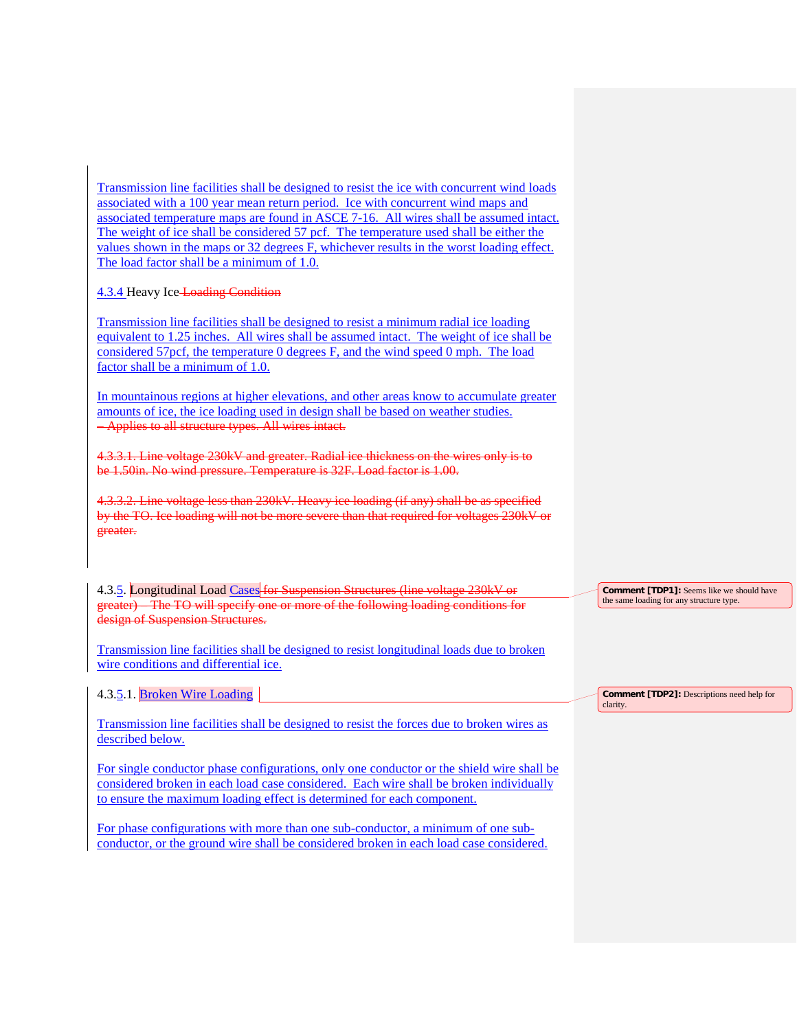Transmission line facilities shall be designed to resist the ice with concurrent wind loads associated with a 100 year mean return period. Ice with concurrent wind maps and associated temperature maps are found in ASCE 7-16. All wires shall be assumed intact. The weight of ice shall be considered 57 pcf. The temperature used shall be either the values shown in the maps or 32 degrees F, whichever results in the worst loading effect. The load factor shall be a minimum of 1.0.

# 4.3.4 Heavy Ice Loading Condition

Transmission line facilities shall be designed to resist a minimum radial ice loading equivalent to 1.25 inches. All wires shall be assumed intact. The weight of ice shall be considered 57pcf, the temperature 0 degrees F, and the wind speed 0 mph. The load factor shall be a minimum of 1.0.

In mountainous regions at higher elevations, and other areas know to accumulate greater amounts of ice, the ice loading used in design shall be based on weather studies. – Applies to all structure types. All wires intact.

4.3.3.1. Line voltage 230kV and greater. Radial ice thickness on the wires only is to be 1.50in. No wind pressure. Temperature is 32F. Load factor is 1.00.

4.3.3.2. Line voltage less than 230kV. Heavy ice loading (if any) shall be as specified by the TO. Ice loading will not be more severe than that required for voltages 230kV or greater.

4.3.5. Longitudinal Load Cases for Suspension Structures (line voltage 230kV or greater) – The TO will specify one or more of the following loading conditions for design of Suspension Structures.

Transmission line facilities shall be designed to resist longitudinal loads due to broken wire conditions and differential ice.

4.3.5.1. Broken Wire Loading

Transmission line facilities shall be designed to resist the forces due to broken wires as described below.

For single conductor phase configurations, only one conductor or the shield wire shall be considered broken in each load case considered. Each wire shall be broken individually to ensure the maximum loading effect is determined for each component.

For phase configurations with more than one sub-conductor, a minimum of one subconductor, or the ground wire shall be considered broken in each load case considered. **Comment [TDP1]:** Seems like we should have the same loading for any structure type.

**Comment [TDP2]:** Descriptions need help for clarity.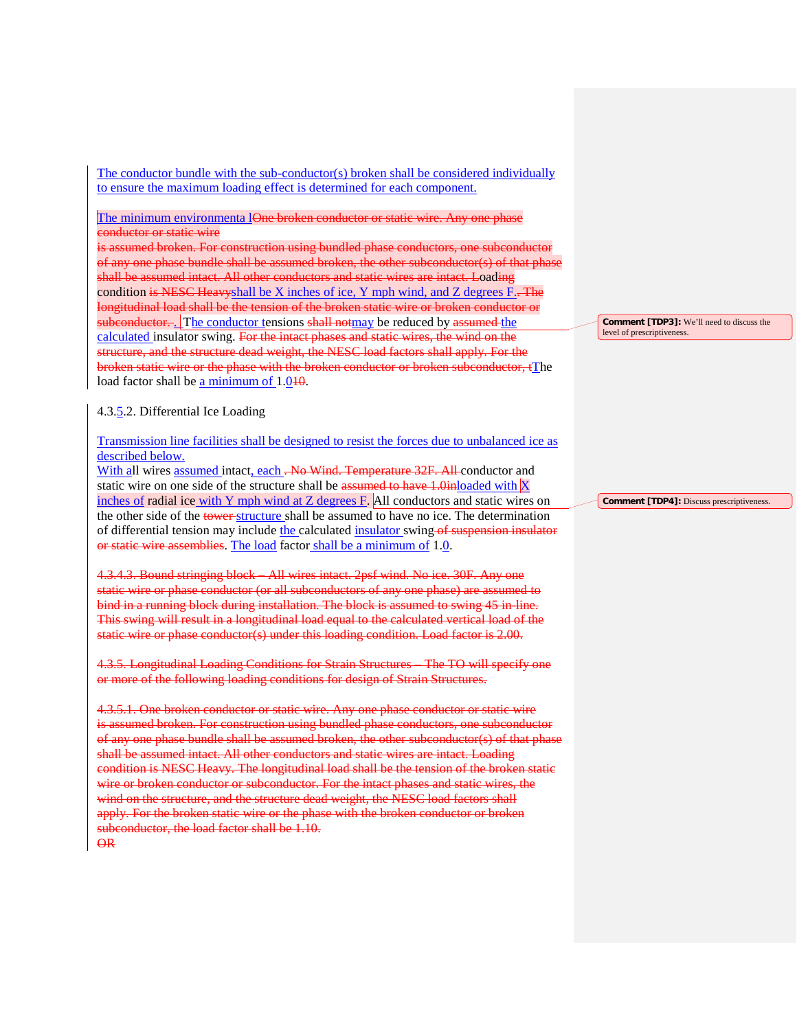The conductor bundle with the sub-conductor(s) broken shall be considered individually to ensure the maximum loading effect is determined for each component.

The minimum environmenta lOne broken conductor or static wire. Any one phase conductor or static wire

is assumed broken. For construction using bundled phase conductors, one subconductor of any one phase bundle shall be assumed broken, the other subconductor(s) of that pha shall be assumed intact. All other conductors and static wires are intact. Loading condition is NESC Heavyshall be X inches of ice, Y mph wind, and Z degrees  $F_{\cdot}$ . The longitudinal load shall be the tension of the broken static wire or broken conductor or subconductor. The conductor tensions shall notmay be reduced by assumed the calculated insulator swing. For the intact phases and static wires, the wind on the structure, and the structure dead weight, the NESC load factors shall apply. For the broken static wire or the phase with the broken conductor or broken subconductor, tThe load factor shall be a minimum of 1.010.

### 4.3.5.2. Differential Ice Loading

Transmission line facilities shall be designed to resist the forces due to unbalanced ice as described below.

With all wires assumed intact, each . No Wind. Temperature 32F. All conductor and static wire on one side of the structure shall be assumed to have 1.0inloaded with  $X$ inches of radial ice with Y mph wind at Z degrees F. All conductors and static wires on the other side of the tower-structure shall be assumed to have no ice. The determination of differential tension may include the calculated insulator swing of suspension insulator or static wire assemblies. The load factor shall be a minimum of 1.0.

4.3.4.3. Bound stringing block – All wires intact. 2psf wind. No ice. 30F. Any one static wire or phase conductor (or all subconductors of any one phase) are assumed to bind in a running block during installation. The block is assumed to swing 45 in-line. This swing will result in a longitudinal load equal to the calculated vertical load of the static wire or phase conductor(s) under this loading condition. Load factor is 2.00.

4.3.5. Longitudinal Loading Conditions for Strain Structures – The TO will specify one or more of the following loading conditions for design of Strain Structures.

4.3.5.1. One broken conductor or static wire. Any one phase conductor or static wire is assumed broken. For construction using bundled phase conductors, one subconductor of any one phase bundle shall be assumed broken, the other subconductor(s) of that phase shall be assumed intact. All other conductors and static wires are intact. Loading condition is NESC Heavy. The longitudinal load shall be the tension of the broken static wire or broken conductor or subconductor. For the intact phases and static wires, the wind on the structure, and the structure dead weight, the NESC load factors shall apply. For the broken static wire or the phase with the broken conductor or broken subconductor, the load factor shall be 1.10. OR

**Comment [TDP3]:** We'll need to discuss the level of prescriptiveness.

**Comment [TDP4]:** Discuss prescriptiveness.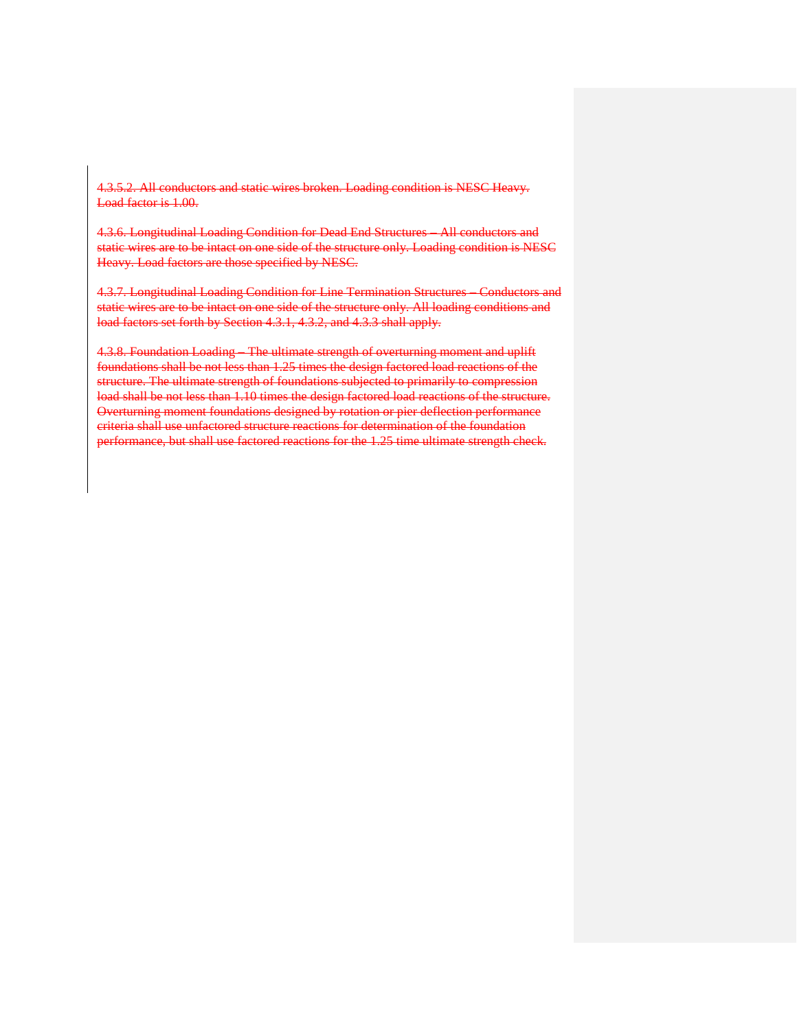4.3.5.2. All conductors and static wires broken. Loading condition is NESC Heavy. Load factor is 1.00.

4.3.6. Longitudinal Loading Condition for Dead End Structures – All conductors and static wires are to be intact on one side of the structure only. Loading condition is NESC Heavy. Load factors are those specified by NESC.

4.3.7. Longitudinal Loading Condition for Line Termination Structures – Conductors and static wires are to be intact on one side of the structure only. All loading conditions and load factors set forth by Section 4.3.1, 4.3.2, and 4.3.3 shall apply.

4.3.8. Foundation Loading – The ultimate strength of overturning moment and uplift foundations shall be not less than 1.25 times the design factored load reactions of the structure. The ultimate strength of foundations subjected to primarily to compression load shall be not less than 1.10 times the design factored load reactions of the structure. Overturning moment foundations designed by rotation or pier deflection performance criteria shall use unfactored structure reactions for determination of the foundation performance, but shall use factored reactions for the 1.25 time ultimate strength check.